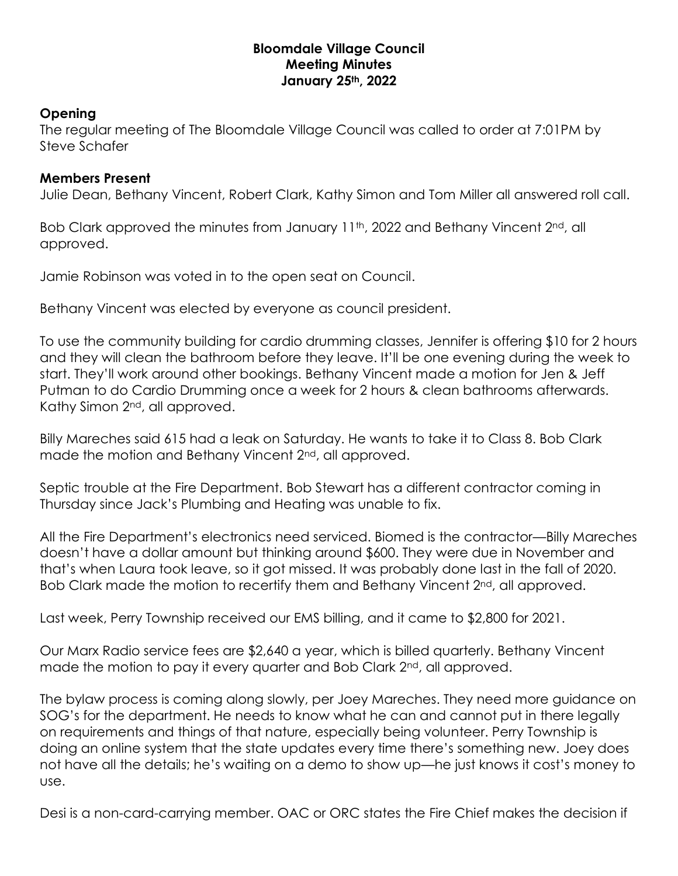## **Bloomdale Village Council Meeting Minutes January 25th, 2022**

## **Opening**

The regular meeting of The Bloomdale Village Council was called to order at 7:01PM by Steve Schafer

## **Members Present**

Julie Dean, Bethany Vincent, Robert Clark, Kathy Simon and Tom Miller all answered roll call.

Bob Clark approved the minutes from January 11<sup>th</sup>, 2022 and Bethany Vincent 2<sup>nd</sup>, all approved.

Jamie Robinson was voted in to the open seat on Council.

Bethany Vincent was elected by everyone as council president.

To use the community building for cardio drumming classes, Jennifer is offering \$10 for 2 hours and they will clean the bathroom before they leave. It'll be one evening during the week to start. They'll work around other bookings. Bethany Vincent made a motion for Jen & Jeff Putman to do Cardio Drumming once a week for 2 hours & clean bathrooms afterwards. Kathy Simon 2<sup>nd</sup>, all approved.

Billy Mareches said 615 had a leak on Saturday. He wants to take it to Class 8. Bob Clark made the motion and Bethany Vincent 2<sup>nd</sup>, all approved.

Septic trouble at the Fire Department. Bob Stewart has a different contractor coming in Thursday since Jack's Plumbing and Heating was unable to fix.

All the Fire Department's electronics need serviced. Biomed is the contractor—Billy Mareches doesn't have a dollar amount but thinking around \$600. They were due in November and that's when Laura took leave, so it got missed. It was probably done last in the fall of 2020. Bob Clark made the motion to recertify them and Bethany Vincent 2<sup>nd</sup>, all approved.

Last week, Perry Township received our EMS billing, and it came to \$2,800 for 2021.

Our Marx Radio service fees are \$2,640 a year, which is billed quarterly. Bethany Vincent made the motion to pay it every quarter and Bob Clark 2<sup>nd</sup>, all approved.

The bylaw process is coming along slowly, per Joey Mareches. They need more guidance on SOG's for the department. He needs to know what he can and cannot put in there legally on requirements and things of that nature, especially being volunteer. Perry Township is doing an online system that the state updates every time there's something new. Joey does not have all the details; he's waiting on a demo to show up—he just knows it cost's money to use.

Desi is a non-card-carrying member. OAC or ORC states the Fire Chief makes the decision if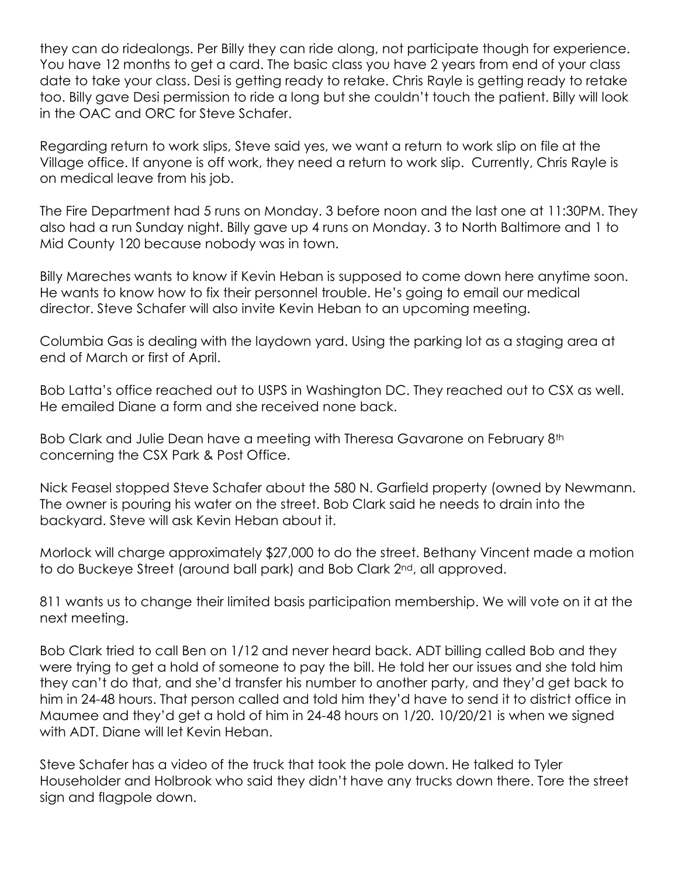they can do ridealongs. Per Billy they can ride along, not participate though for experience. You have 12 months to get a card. The basic class you have 2 years from end of your class date to take your class. Desi is getting ready to retake. Chris Rayle is getting ready to retake too. Billy gave Desi permission to ride a long but she couldn't touch the patient. Billy will look in the OAC and ORC for Steve Schafer.

Regarding return to work slips, Steve said yes, we want a return to work slip on file at the Village office. If anyone is off work, they need a return to work slip. Currently, Chris Rayle is on medical leave from his job.

The Fire Department had 5 runs on Monday. 3 before noon and the last one at 11:30PM. They also had a run Sunday night. Billy gave up 4 runs on Monday. 3 to North Baltimore and 1 to Mid County 120 because nobody was in town.

Billy Mareches wants to know if Kevin Heban is supposed to come down here anytime soon. He wants to know how to fix their personnel trouble. He's going to email our medical director. Steve Schafer will also invite Kevin Heban to an upcoming meeting.

Columbia Gas is dealing with the laydown yard. Using the parking lot as a staging area at end of March or first of April.

Bob Latta's office reached out to USPS in Washington DC. They reached out to CSX as well. He emailed Diane a form and she received none back.

Bob Clark and Julie Dean have a meeting with Theresa Gavarone on February 8<sup>th</sup> concerning the CSX Park & Post Office.

Nick Feasel stopped Steve Schafer about the 580 N. Garfield property (owned by Newmann. The owner is pouring his water on the street. Bob Clark said he needs to drain into the backyard. Steve will ask Kevin Heban about it.

Morlock will charge approximately \$27,000 to do the street. Bethany Vincent made a motion to do Buckeye Street (around ball park) and Bob Clark 2<sup>nd</sup>, all approved.

811 wants us to change their limited basis participation membership. We will vote on it at the next meeting.

Bob Clark tried to call Ben on 1/12 and never heard back. ADT billing called Bob and they were trying to get a hold of someone to pay the bill. He told her our issues and she told him they can't do that, and she'd transfer his number to another party, and they'd get back to him in 24-48 hours. That person called and told him they'd have to send it to district office in Maumee and they'd get a hold of him in 24-48 hours on 1/20. 10/20/21 is when we signed with ADT. Diane will let Kevin Heban.

Steve Schafer has a video of the truck that took the pole down. He talked to Tyler Householder and Holbrook who said they didn't have any trucks down there. Tore the street sign and flagpole down.